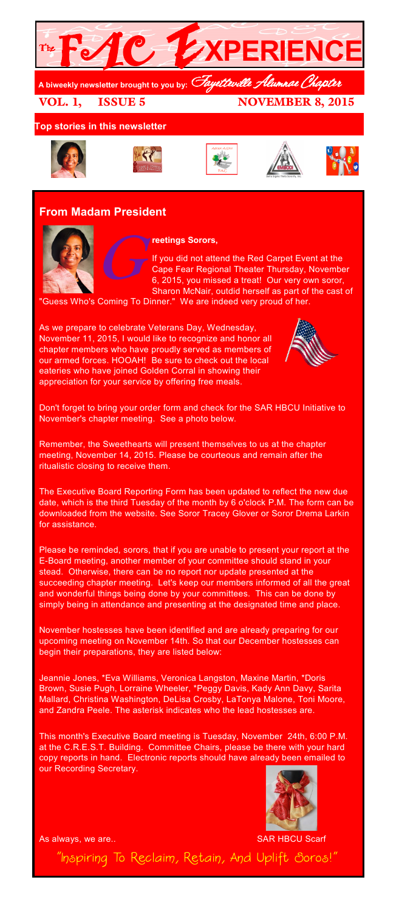

## **Top stories in this newsletter**











# **From Madam President**



**reetings Sorors,**

G If you did not attend the Red Carpet Event at the Cape Fear Regional Theater Thursday, November 6, 2015, you missed a treat! Our very own soror, Sharon McNair, outdid herself as part of the cast of

Guess Who's Coming To Dinner." We are indeed very proud of her.

As we prepare to celebrate Veterans Day, Wednesday, November 11, 2015, I would like to recognize and honor all chapter members who have proudly served as members of our armed forces. HOOAH! Be sure to check out the local eateries who have joined Golden Corral in showing their appreciation for your service by offering free meals.



Don't forget to bring your order form and check for the SAR HBCU Initiative to November's chapter meeting. See a photo below.

Remember, the Sweethearts will present themselves to us at the chapter meeting, November 14, 2015. Please be courteous and remain after the ritualistic closing to receive them.

The Executive Board Reporting Form has been updated to reflect the new due date, which is the third Tuesday of the month by 6 o'clock P.M. The form can be downloaded from the website. See Soror Tracey Glover or Soror Drema Larkin for assistance.

Please be reminded, sorors, that if you are unable to present your report at the E-Board meeting, another member of your committee should stand in your stead. Otherwise, there can be no report nor update presented at the succeeding chapter meeting. Let's keep our members informed of all the great and wonderful things being done by your committees. This can be done by simply being in attendance and presenting at the designated time and place.

November hostesses have been identified and are already preparing for our upcoming meeting on November 14th. So that our December hostesses can begin their preparations, they are listed below:

Jeannie Jones, \*Eva Williams, Veronica Langston, Maxine Martin, \*Doris Brown, Susie Pugh, Lorraine Wheeler, \*Peggy Davis, Kady Ann Davy, Sarita Mallard, Christina Washington, DeLisa Crosby, LaTonya Malone, Toni Moore, and Zandra Peele. The asterisk indicates who the lead hostesses are.

This month's Executive Board meeting is Tuesday, November 24th, 6:00 P.M. at the C.R.E.S.T. Building. Committee Chairs, please be there with your hard copy reports in hand. Electronic reports should have already been emailed to our Recording Secretary.



As always, we are.. SAR HBCU Scarf

"Inspiring To Reclaim, Retain, And Uplift Soros!"